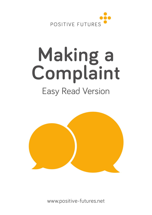

# **Making a Complaint** Easy Read Version



www.positive-futures.net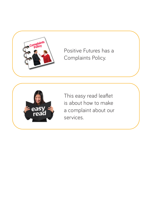

Positive Futures has a Complaints Policy.



This easy read leaflet is about how to make a complaint about our services.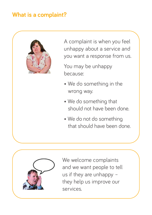# **What is a complaint?**



A complaint is when you feel unhappy about a service and you want a response from us.

You may be unhappy because:

- We do something in the wrong way.
- We do something that should not have been done.
- We do not do something that should have been done.



We welcome complaints and we want people to tell us if they are unhappy – they help us improve our services.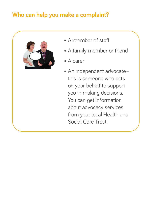# **Who can help you make a complaint?**



- A member of staff
- A family member or friend
- A carer
- An independent advocate– this is someone who acts on your behalf to support you in making decisions. You can get information about advocacy services from your local Health and Social Care Trust.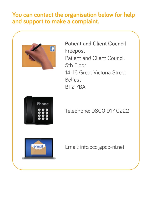#### **You can contact the organisation below for help and support to make a complaint.**



**Patient and Client Council**  Freepost Patient and Client Council 5th Floor 14-16 Great Victoria Street Belfast BT2 7BA



# Telephone: 0800 917 0222



Email: info.pcc@pcc-ni.net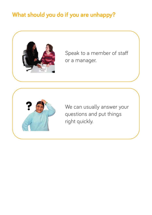# **What should you do if you are unhappy?**



Speak to a member of staff or a manager.



We can usually answer your questions and put things right quickly.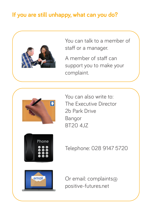# **If you are still unhappy, what can you do?**



You can talk to a member of staff or a manager.

A member of staff can support you to make your complaint.



You can also write to: The Executive Director 2b Park Drive Bangor BT20 4JZ



Telephone: 028 9147 5720



Or email: complaints@ positive-futures.net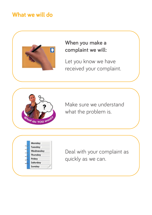### **What we will do**



#### **When you make a complaint we will:**

Let you know we have received your complaint.



Make sure we understand what the problem is.

| Monday    |
|-----------|
| Tuesday   |
| Wednesday |
| Thursday  |
| Friday    |
| Saturday  |
| Sunday    |

Deal with your complaint as quickly as we can.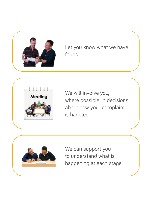

Let you know what we have found.



We will involve you, where possible, in decisions about how your complaint is handled.

We can support you to understand what is happening at each stage.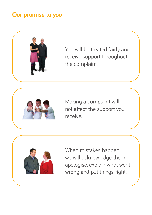## **Our promise to you**



You will be treated fairly and receive support throughout the complaint.



Making a complaint will not affect the support you receive.



When mistakes happen we will acknowledge them, apologise, explain what went wrong and put things right.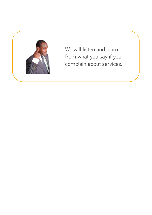

We will listen and learn from what you say if you complain about services.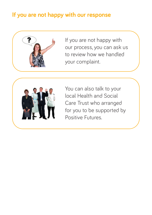# **If you are not happy with our response**



If you are not happy with our process, you can ask us to review how we handled your complaint.



You can also talk to your local Health and Social Care Trust who arranged for you to be supported by Positive Futures.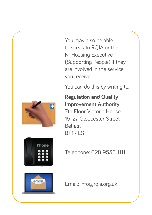You may also be able to speak to RQIA or the NI Housing Executive (Supporting People) if they are involved in the service you receive.

You can do this by writing to:

**Regulation and Quality Improvement Authority** 7th Floor Victoria House 15-27 Gloucester Street Belfast BT1 4LS



Telephone: 028 9536 1111



Email: info@rqia.org.uk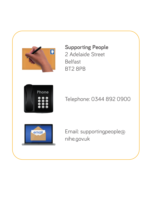

**Supporting People** 2 Adelaide Street Belfast BT2 8PB



Telephone: 0344 892 0900



Email: supportingpeople@ nihe.gov.uk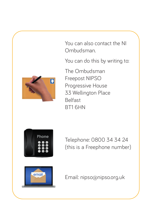

You can also contact the NI Ombudsman.

You can do this by writing to:

The Ombudsman Freepost NIPSO Progressive House 33 Wellington Place Belfast BT1 6HN



Telephone: 0800 34 34 24 (this is a Freephone number)



Email: nipso@nipso.org.uk